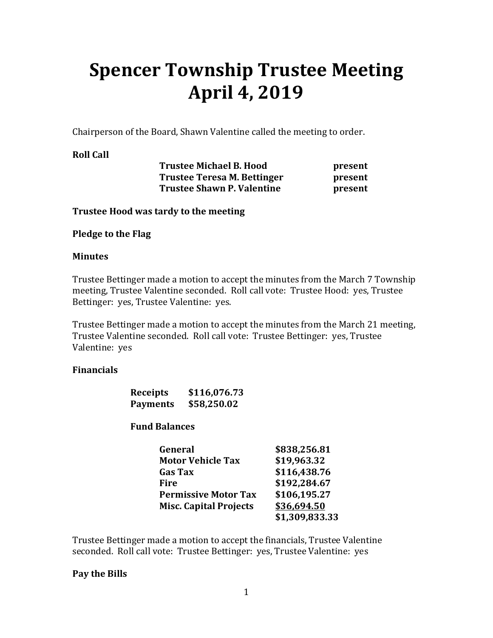# **Spencer Township Trustee Meeting April 4, 2019**

Chairperson of the Board, Shawn Valentine called the meeting to order.

#### **Roll Call**

 **Trustee Michael B. Hood present Trustee Teresa M. Bettinger by Present Trustee Shawn P. Valentine** *present* 

**Trustee Hood was tardy to the meeting** 

**Pledge to the Flag** 

#### **Minutes**

Trustee Bettinger made a motion to accept the minutes from the March 7 Township meeting, Trustee Valentine seconded. Roll call vote: Trustee Hood: yes, Trustee Bettinger: yes, Trustee Valentine: yes.

Trustee Bettinger made a motion to accept the minutes from the March 21 meeting, Trustee Valentine seconded. Roll call vote: Trustee Bettinger: yes, Trustee Valentine: yes

#### **Financials**

| <b>Receipts</b> | \$116,076.73 |
|-----------------|--------------|
| <b>Payments</b> | \$58,250.02  |

#### **Fund Balances**

| General                       | \$838,256.81   |
|-------------------------------|----------------|
| <b>Motor Vehicle Tax</b>      | \$19,963.32    |
| <b>Gas Tax</b>                | \$116,438.76   |
| Fire                          | \$192,284.67   |
| <b>Permissive Motor Tax</b>   | \$106,195.27   |
| <b>Misc. Capital Projects</b> | \$36,694.50    |
|                               | \$1,309,833.33 |

Trustee Bettinger made a motion to accept the financials, Trustee Valentine seconded. Roll call vote: Trustee Bettinger: yes, Trustee Valentine: yes

#### **Pay the Bills**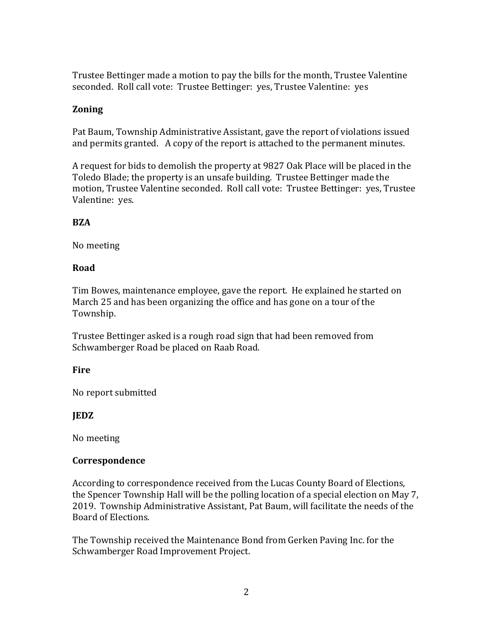Trustee Bettinger made a motion to pay the bills for the month, Trustee Valentine seconded. Roll call vote: Trustee Bettinger: yes, Trustee Valentine: yes

### **Zoning**

Pat Baum, Township Administrative Assistant, gave the report of violations issued and permits granted. A copy of the report is attached to the permanent minutes.

A request for bids to demolish the property at 9827 Oak Place will be placed in the Toledo Blade; the property is an unsafe building. Trustee Bettinger made the motion, Trustee Valentine seconded. Roll call vote: Trustee Bettinger: yes, Trustee Valentine: yes.

#### **BZA**

No meeting

### **Road**

Tim Bowes, maintenance employee, gave the report. He explained he started on March 25 and has been organizing the office and has gone on a tour of the Township.

Trustee Bettinger asked is a rough road sign that had been removed from Schwamberger Road be placed on Raab Road.

# **Fire**

No report submitted

# **JEDZ**

No meeting

# **Correspondence**

According to correspondence received from the Lucas County Board of Elections, the Spencer Township Hall will be the polling location of a special election on May 7, 2019. Township Administrative Assistant, Pat Baum, will facilitate the needs of the Board of Elections.

The Township received the Maintenance Bond from Gerken Paving Inc. for the Schwamberger Road Improvement Project.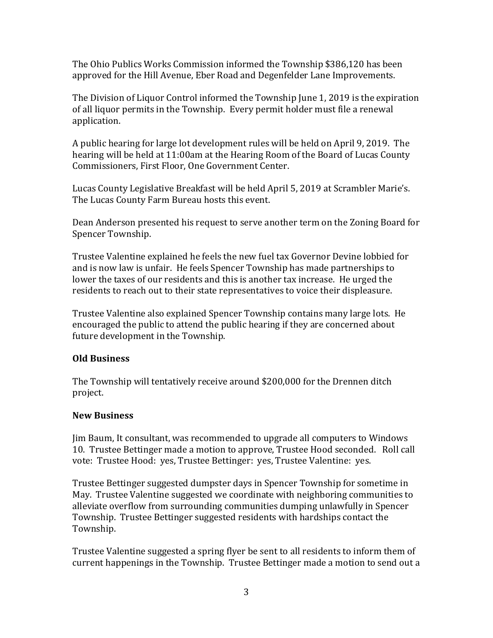The Ohio Publics Works Commission informed the Township \$386,120 has been approved for the Hill Avenue, Eber Road and Degenfelder Lane Improvements.

The Division of Liquor Control informed the Township June 1, 2019 is the expiration of all liquor permits in the Township. Every permit holder must file a renewal application.

A public hearing for large lot development rules will be held on April 9, 2019. The hearing will be held at 11:00am at the Hearing Room of the Board of Lucas County Commissioners, First Floor, One Government Center.

Lucas County Legislative Breakfast will be held April 5, 2019 at Scrambler Marie's. The Lucas County Farm Bureau hosts this event.

Dean Anderson presented his request to serve another term on the Zoning Board for Spencer Township.

Trustee Valentine explained he feels the new fuel tax Governor Devine lobbied for and is now law is unfair. He feels Spencer Township has made partnerships to lower the taxes of our residents and this is another tax increase. He urged the residents to reach out to their state representatives to voice their displeasure.

Trustee Valentine also explained Spencer Township contains many large lots. He encouraged the public to attend the public hearing if they are concerned about future development in the Township.

# **Old Business**

The Township will tentatively receive around \$200,000 for the Drennen ditch project.

#### **New Business**

Jim Baum, It consultant, was recommended to upgrade all computers to Windows 10. Trustee Bettinger made a motion to approve, Trustee Hood seconded. Roll call vote: Trustee Hood: yes, Trustee Bettinger: yes, Trustee Valentine: yes.

Trustee Bettinger suggested dumpster days in Spencer Township for sometime in May. Trustee Valentine suggested we coordinate with neighboring communities to alleviate overflow from surrounding communities dumping unlawfully in Spencer Township. Trustee Bettinger suggested residents with hardships contact the Township.

Trustee Valentine suggested a spring flyer be sent to all residents to inform them of current happenings in the Township. Trustee Bettinger made a motion to send out a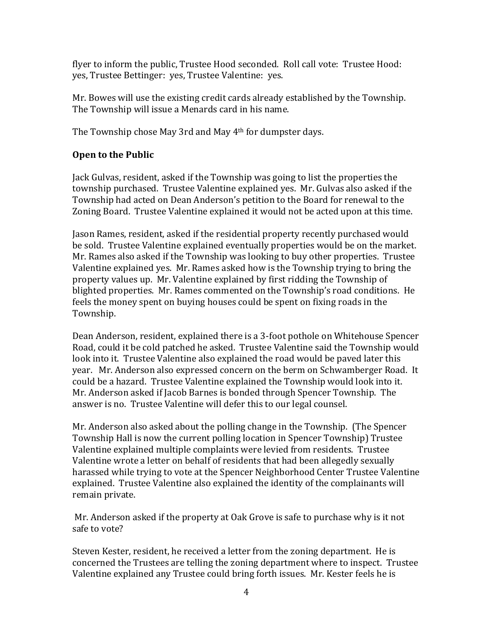flyer to inform the public, Trustee Hood seconded. Roll call vote: Trustee Hood: yes, Trustee Bettinger: yes, Trustee Valentine: yes.

Mr. Bowes will use the existing credit cards already established by the Township. The Township will issue a Menards card in his name.

The Township chose May 3rd and May 4th for dumpster days.

# **Open to the Public**

Jack Gulvas, resident, asked if the Township was going to list the properties the township purchased. Trustee Valentine explained yes. Mr. Gulvas also asked if the Township had acted on Dean Anderson's petition to the Board for renewal to the Zoning Board. Trustee Valentine explained it would not be acted upon at this time.

Jason Rames, resident, asked if the residential property recently purchased would be sold. Trustee Valentine explained eventually properties would be on the market. Mr. Rames also asked if the Township was looking to buy other properties. Trustee Valentine explained yes. Mr. Rames asked how is the Township trying to bring the property values up. Mr. Valentine explained by first ridding the Township of blighted properties. Mr. Rames commented on the Township's road conditions. He feels the money spent on buying houses could be spent on fixing roads in the Township.

Dean Anderson, resident, explained there is a 3-foot pothole on Whitehouse Spencer Road, could it be cold patched he asked. Trustee Valentine said the Township would look into it. Trustee Valentine also explained the road would be paved later this year. Mr. Anderson also expressed concern on the berm on Schwamberger Road. It could be a hazard. Trustee Valentine explained the Township would look into it. Mr. Anderson asked if Jacob Barnes is bonded through Spencer Township. The answer is no. Trustee Valentine will defer this to our legal counsel.

Mr. Anderson also asked about the polling change in the Township. (The Spencer Township Hall is now the current polling location in Spencer Township) Trustee Valentine explained multiple complaints were levied from residents. Trustee Valentine wrote a letter on behalf of residents that had been allegedly sexually harassed while trying to vote at the Spencer Neighborhood Center Trustee Valentine explained. Trustee Valentine also explained the identity of the complainants will remain private.

 Mr. Anderson asked if the property at Oak Grove is safe to purchase why is it not safe to vote?

Steven Kester, resident, he received a letter from the zoning department. He is concerned the Trustees are telling the zoning department where to inspect. Trustee Valentine explained any Trustee could bring forth issues. Mr. Kester feels he is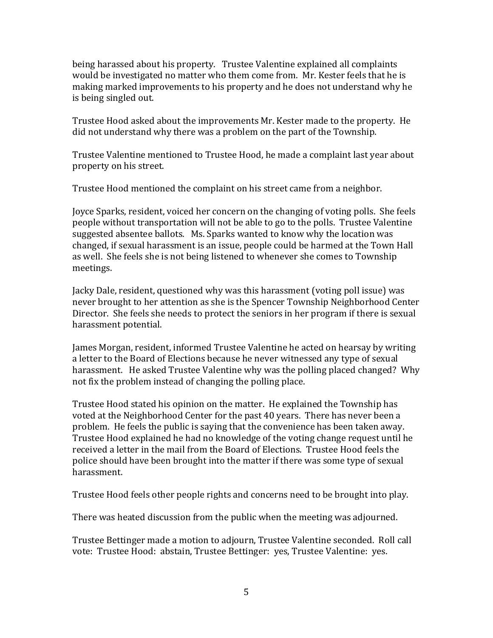being harassed about his property. Trustee Valentine explained all complaints would be investigated no matter who them come from. Mr. Kester feels that he is making marked improvements to his property and he does not understand why he is being singled out.

Trustee Hood asked about the improvements Mr. Kester made to the property. He did not understand why there was a problem on the part of the Township.

Trustee Valentine mentioned to Trustee Hood, he made a complaint last year about property on his street.

Trustee Hood mentioned the complaint on his street came from a neighbor.

Joyce Sparks, resident, voiced her concern on the changing of voting polls. She feels people without transportation will not be able to go to the polls. Trustee Valentine suggested absentee ballots. Ms. Sparks wanted to know why the location was changed, if sexual harassment is an issue, people could be harmed at the Town Hall as well. She feels she is not being listened to whenever she comes to Township meetings.

Jacky Dale, resident, questioned why was this harassment (voting poll issue) was never brought to her attention as she is the Spencer Township Neighborhood Center Director. She feels she needs to protect the seniors in her program if there is sexual harassment potential.

James Morgan, resident, informed Trustee Valentine he acted on hearsay by writing a letter to the Board of Elections because he never witnessed any type of sexual harassment. He asked Trustee Valentine why was the polling placed changed? Why not fix the problem instead of changing the polling place.

Trustee Hood stated his opinion on the matter. He explained the Township has voted at the Neighborhood Center for the past 40 years. There has never been a problem. He feels the public is saying that the convenience has been taken away. Trustee Hood explained he had no knowledge of the voting change request until he received a letter in the mail from the Board of Elections. Trustee Hood feels the police should have been brought into the matter if there was some type of sexual harassment.

Trustee Hood feels other people rights and concerns need to be brought into play.

There was heated discussion from the public when the meeting was adjourned.

Trustee Bettinger made a motion to adjourn, Trustee Valentine seconded. Roll call vote: Trustee Hood: abstain, Trustee Bettinger: yes, Trustee Valentine: yes.